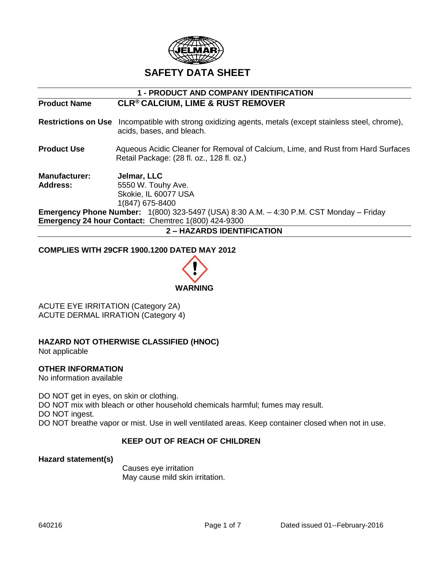

| <b>1 - PRODUCT AND COMPANY IDENTIFICATION</b> |                                                                                                                                             |  |
|-----------------------------------------------|---------------------------------------------------------------------------------------------------------------------------------------------|--|
| <b>Product Name</b>                           | <b>CLR® CALCIUM, LIME &amp; RUST REMOVER</b>                                                                                                |  |
|                                               | <b>Restrictions on Use</b> Incompatible with strong oxidizing agents, metals (except stainless steel, chrome),<br>acids, bases, and bleach. |  |
| <b>Product Use</b>                            | Aqueous Acidic Cleaner for Removal of Calcium, Lime, and Rust from Hard Surfaces<br>Retail Package: (28 fl. oz., 128 fl. oz.)               |  |
| <b>Manufacturer:</b><br><b>Address:</b>       | Jelmar, LLC<br>5550 W. Touhy Ave.<br>Skokie, IL 60077 USA<br>1(847) 675-8400                                                                |  |
|                                               | <b>Emergency Phone Number:</b> $1(800)$ 323-5497 (USA) 8:30 A.M. $-$ 4:30 P.M. CST Monday $-$ Friday                                        |  |
|                                               | <b>Emergency 24 hour Contact: Chemtrec 1(800) 424-9300</b>                                                                                  |  |
| <b>2 - HAZARDS IDENTIFICATION</b>             |                                                                                                                                             |  |

#### **COMPLIES WITH 29CFR 1900.1200 DATED MAY 2012**



ACUTE EYE IRRITATION (Category 2A) ACUTE DERMAL IRRATION (Category 4)

## **HAZARD NOT OTHERWISE CLASSIFIED (HNOC)**

Not applicable

### **OTHER INFORMATION**

No information available

DO NOT get in eyes, on skin or clothing. DO NOT mix with bleach or other household chemicals harmful; fumes may result. DO NOT ingest. DO NOT breathe vapor or mist. Use in well ventilated areas. Keep container closed when not in use.

### **KEEP OUT OF REACH OF CHILDREN**

**Hazard statement(s)**

Causes eye irritation May cause mild skin irritation.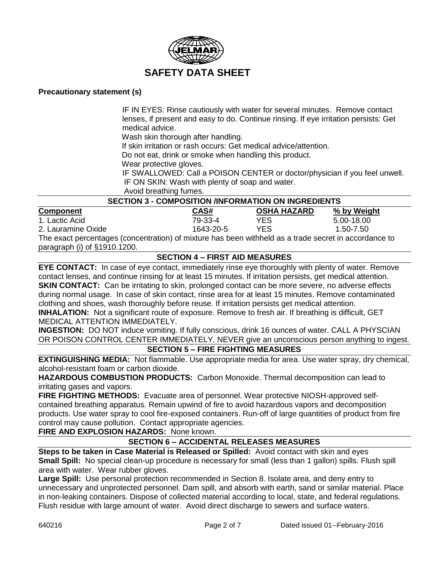

#### **Precautionary statement (s)**

IF IN EYES: Rinse cautiously with water for several minutes. Remove contact lenses, if present and easy to do. Continue rinsing. If eye irritation persists: Get medical advice.

Wash skin thorough after handling.

If skin irritation or rash occurs: Get medical advice/attention.

Do not eat, drink or smoke when handling this product.

Wear protective gloves.

 IF SWALLOWED: Call a POISON CENTER or doctor/physician if you feel unwell. IF ON SKIN: Wash with plenty of soap and water.

Avoid breathing fumes.

| <b>SECTION 3 - COMPOSITION /INFORMATION ON INGREDIENTS</b> |           |                    |             |
|------------------------------------------------------------|-----------|--------------------|-------------|
| <b>Component</b>                                           | CAS#      | <b>OSHA HAZARD</b> | % by Weight |
| 1. Lactic Acid                                             | 79-33-4   | YES.               | 5.00-18.00  |
| 2. Lauramine Oxide                                         | 1643-20-5 | YES                | 1.50-7.50   |

The exact percentages (concentration) of mixture has been withheld as a trade secret in accordance to paragraph (i) of §1910.1200.

### **SECTION 4 – FIRST AID MEASURES**

**EYE CONTACT:** In case of eye contact, immediately rinse eye thoroughly with plenty of water. Remove contact lenses, and continue rinsing for at least 15 minutes. If irritation persists, get medical attention. **SKIN CONTACT:** Can be irritating to skin, prolonged contact can be more severe, no adverse effects during normal usage. In case of skin contact, rinse area for at least 15 minutes. Remove contaminated clothing and shoes, wash thoroughly before reuse. If irritation persists get medical attention. **INHALATION:** Not a significant route of exposure. Remove to fresh air. If breathing is difficult, GET

MEDICAL ATTENTION IMMEDIATELY.

**INGESTION:** DO NOT induce vomiting. If fully conscious, drink 16 ounces of water. CALL A PHYSCIAN OR POISON CONTROL CENTER IMMEDIATELY. NEVER give an unconscious person anything to ingest.

## **SECTION 5 – FIRE FIGHTING MEASURES**

**EXTINGUISHING MEDIA:** Not flammable. Use appropriate media for area. Use water spray, dry chemical, alcohol-resistant foam or carbon dioxide.

**HAZARDOUS COMBUSTION PRODUCTS:** Carbon Monoxide. Thermal decomposition can lead to irritating gases and vapors.

**FIRE FIGHTING METHODS:** Evacuate area of personnel. Wear protective NIOSH-approved selfcontained breathing apparatus. Remain upwind of fire to avoid hazardous vapors and decomposition products. Use water spray to cool fire-exposed containers. Run-off of large quantities of product from fire control may cause pollution. Contact appropriate agencies.

**FIRE AND EXPLOSION HAZARDS:** None known.

### **SECTION 6 – ACCIDENTAL RELEASES MEASURES**

**Steps to be taken in Case Material is Released or Spilled:** Avoid contact with skin and eyes **Small Spill:** No special clean-up procedure is necessary for small (less than 1 gallon) spills. Flush spill area with water. Wear rubber gloves.

**Large Spill:** Use personal protection recommended in Section 8. Isolate area, and deny entry to unnecessary and unprotected personnel. Dam spill, and absorb with earth, sand or similar material. Place in non-leaking containers. Dispose of collected material according to local, state, and federal regulations. Flush residue with large amount of water. Avoid direct discharge to sewers and surface waters.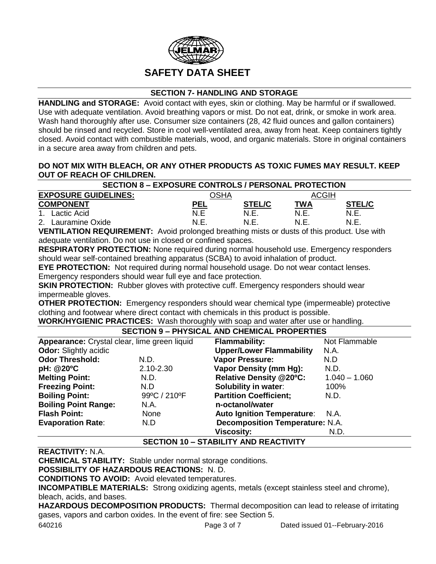

## **SECTION 7- HANDLING AND STORAGE**

**HANDLING and STORAGE:** Avoid contact with eyes, skin or clothing. May be harmful or if swallowed. Use with adequate ventilation. Avoid breathing vapors or mist. Do not eat, drink, or smoke in work area. Wash hand thoroughly after use. Consumer size containers (28, 42 fluid ounces and gallon containers) should be rinsed and recycled. Store in cool well-ventilated area, away from heat. Keep containers tightly closed. Avoid contact with combustible materials, wood, and organic materials. Store in original containers in a secure area away from children and pets.

#### **DO NOT MIX WITH BLEACH, OR ANY OTHER PRODUCTS AS TOXIC FUMES MAY RESULT. KEEP OUT OF REACH OF CHILDREN.**

| <b>SECTION 8 - EXPOSURE CONTROLS / PERSONAL PROTECTION</b> |            |               |       |               |
|------------------------------------------------------------|------------|---------------|-------|---------------|
| <b>EXPOSURE GUIDELINES:</b>                                | )SHA       |               | ACGIH |               |
| <b>COMPONENT</b>                                           | <b>PEL</b> | <b>STEL/C</b> | TWA   | <b>STEL/C</b> |
| 1. Lactic Acid                                             | N.E        | N.E           | N.E   | N.E.          |
| Lauramine Oxide<br>2.                                      | N.E        | N.E           | N.F.  | N.E.          |

**VENTILATION REQUIREMENT:** Avoid prolonged breathing mists or dusts of this product. Use with adequate ventilation. Do not use in closed or confined spaces.

**RESPIRATORY PROTECTION:** None required during normal household use. Emergency responders should wear self-contained breathing apparatus (SCBA) to avoid inhalation of product.

**EYE PROTECTION:** Not required during normal household usage. Do not wear contact lenses. Emergency responders should wear full eye and face protection.

**SKIN PROTECTION:** Rubber gloves with protective cuff. Emergency responders should wear impermeable gloves.

**OTHER PROTECTION:** Emergency responders should wear chemical type (impermeable) protective clothing and footwear where direct contact with chemicals in this product is possible.

**WORK/HYGIENIC PRACTICES:** Wash thoroughly with soap and water after use or handling.

## **SECTION 9 – PHYSICAL AND CHEMICAL PROPERTIES**

| Appearance: Crystal clear, lime green liquid |               | <b>Flammability:</b>                   | Not Flammable   |
|----------------------------------------------|---------------|----------------------------------------|-----------------|
| <b>Odor:</b> Slightly acidic                 |               | <b>Upper/Lower Flammability</b>        | N.A.            |
| <b>Odor Threshold:</b>                       | N.D.          | <b>Vapor Pressure:</b>                 | N.D             |
| pH: @20°C                                    | $2.10 - 2.30$ | <b>Vapor Density (mm Hg):</b>          | N.D.            |
| <b>Melting Point:</b>                        | N.D.          | <b>Relative Density @20°C:</b>         | $1.040 - 1.060$ |
| <b>Freezing Point:</b>                       | N.D           | <b>Solubility in water:</b>            | 100%            |
| <b>Boiling Point:</b>                        | 99°C / 210°F  | <b>Partition Coefficient;</b>          | N.D.            |
| <b>Boiling Point Range:</b>                  | N.A.          | n-octanol/water                        |                 |
| <b>Flash Point:</b>                          | None          | <b>Auto Ignition Temperature:</b>      | - N.A.          |
| <b>Evaporation Rate:</b>                     | N.D           | <b>Decomposition Temperature: N.A.</b> |                 |
|                                              |               | <b>Viscosity:</b>                      | N.D.            |

### **SECTION 10 – STABILITY AND REACTIVITY**

## **REACTIVITY:** N.A.

**CHEMICAL STABILITY:** Stable under normal storage conditions.

**POSSIBILITY OF HAZARDOUS REACTIONS:** N. D.

**CONDITIONS TO AVOID:** Avoid elevated temperatures.

**INCOMPATIBLE MATERIALS:** Strong oxidizing agents, metals (except stainless steel and chrome), bleach, acids, and bases.

**HAZARDOUS DECOMPOSITION PRODUCTS:** Thermal decomposition can lead to release of irritating gases, vapors and carbon oxides. In the event of fire: see Section 5.

640216 Page 3 of 7 Dated issued 01--February-2016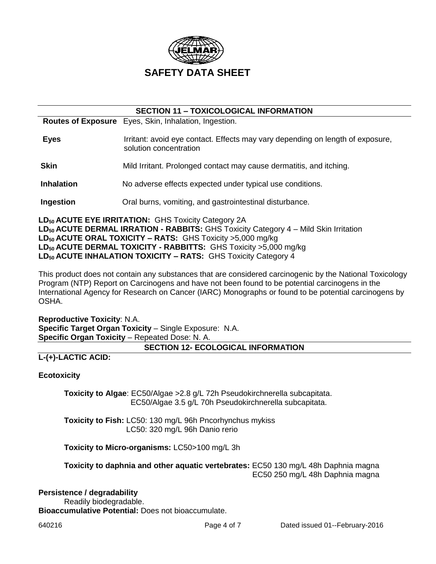

| <b>SECTION 11 - TOXICOLOGICAL INFORMATION</b> |                                                                                                          |  |  |
|-----------------------------------------------|----------------------------------------------------------------------------------------------------------|--|--|
|                                               | <b>Routes of Exposure</b> Eyes, Skin, Inhalation, Ingestion.                                             |  |  |
| <b>Eyes</b>                                   | Irritant: avoid eye contact. Effects may vary depending on length of exposure,<br>solution concentration |  |  |
| <b>Skin</b>                                   | Mild Irritant. Prolonged contact may cause dermatitis, and itching.                                      |  |  |
| <b>Inhalation</b>                             | No adverse effects expected under typical use conditions.                                                |  |  |
| Ingestion                                     | Oral burns, vomiting, and gastrointestinal disturbance.                                                  |  |  |

**LD<sup>50</sup> ACUTE EYE IRRITATION:** GHS Toxicity Category 2A **LD<sup>50</sup> ACUTE DERMAL IRRATION - RABBITS:** GHS Toxicity Category 4 – Mild Skin Irritation **LD<sup>50</sup> ACUTE ORAL TOXICITY – RATS:** GHS Toxicity >5,000 mg/kg **LD<sup>50</sup> ACUTE DERMAL TOXICITY - RABBITTS:** GHS Toxicity >5,000 mg/kg **LD50 ACUTE INHALATION TOXICITY – RATS:** GHS Toxicity Category 4

This product does not contain any substances that are considered carcinogenic by the National Toxicology Program (NTP) Report on Carcinogens and have not been found to be potential carcinogens in the International Agency for Research on Cancer (IARC) Monographs or found to be potential carcinogens by OSHA.

**Reproductive Toxicity**: N.A. **Specific Target Organ Toxicity** – Single Exposure: N.A. **Specific Organ Toxicity** – Repeated Dose: N. A.

### **SECTION 12- ECOLOGICAL INFORMATION**

## **L-(+)-LACTIC ACID:**

### **Ecotoxicity**

**Toxicity to Algae**: EC50/Algae >2.8 g/L 72h Pseudokirchnerella subcapitata. EC50/Algae 3.5 g/L 70h Pseudokirchnerella subcapitata.

**Toxicity to Fish:** LC50: 130 mg/L 96h Pncorhynchus mykiss LC50: 320 mg/L 96h Danio rerio

**Toxicity to Micro-organisms:** LC50>100 mg/L 3h

**Toxicity to daphnia and other aquatic vertebrates:** EC50 130 mg/L 48h Daphnia magna EC50 250 mg/L 48h Daphnia magna

#### **Persistence / degradability**

Readily biodegradable. **Bioaccumulative Potential:** Does not bioaccumulate.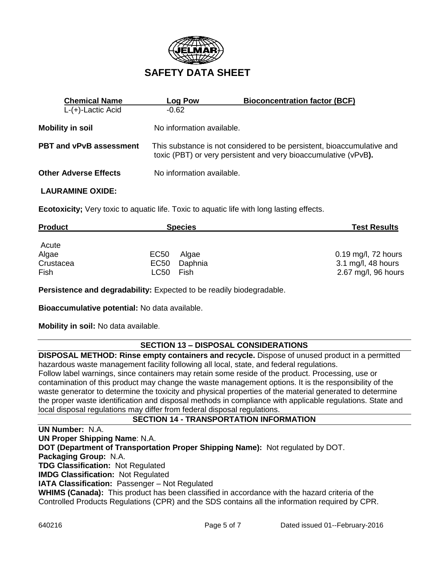

| <b>Chemical Name</b>           | <b>Log Pow</b>            | <b>Bioconcentration factor (BCF)</b>                                                                                                      |
|--------------------------------|---------------------------|-------------------------------------------------------------------------------------------------------------------------------------------|
| $L-(+)$ -Lactic Acid           | $-0.62$                   |                                                                                                                                           |
| <b>Mobility in soil</b>        | No information available. |                                                                                                                                           |
| <b>PBT and vPvB assessment</b> |                           | This substance is not considered to be persistent, bioaccumulative and<br>toxic (PBT) or very persistent and very bioaccumulative (vPvB). |
| <b>Other Adverse Effects</b>   | No information available. |                                                                                                                                           |

#### **LAURAMINE OXIDE:**

**Ecotoxicity;** Very toxic to aquatic life. Toxic to aquatic life with long lasting effects.

| <b>Product</b>    | <b>Species</b>                  | <b>Test Results</b>                       |
|-------------------|---------------------------------|-------------------------------------------|
| Acute             |                                 |                                           |
| Algae             | EC50<br>Algae                   | 0.19 mg/l, 72 hours                       |
| Crustacea<br>Fish | EC50<br>Daphnia<br>LC50<br>Fish | 3.1 mg/l, 48 hours<br>2.67 mg/l, 96 hours |

**Persistence and degradability:** Expected to be readily biodegradable.

**Bioaccumulative potential:** No data available.

**Mobility in soil:** No data available.

### **SECTION 13 – DISPOSAL CONSIDERATIONS**

**DISPOSAL METHOD: Rinse empty containers and recycle.** Dispose of unused product in a permitted hazardous waste management facility following all local, state, and federal regulations. Follow label warnings, since containers may retain some reside of the product. Processing, use or contamination of this product may change the waste management options. It is the responsibility of the waste generator to determine the toxicity and physical properties of the material generated to determine the proper waste identification and disposal methods in compliance with applicable regulations. State and local disposal regulations may differ from federal disposal regulations.

### **SECTION 14 - TRANSPORTATION INFORMATION**

**UN Number:** N.A. **UN Proper Shipping Name**: N.A. **DOT (Department of Transportation Proper Shipping Name):** Not regulated by DOT. **Packaging Group:** N.A. **TDG Classification:** Not Regulated **IMDG Classification:** Not Regulated **IATA Classification:** Passenger – Not Regulated **WHIMS (Canada):** This product has been classified in accordance with the hazard criteria of the Controlled Products Regulations (CPR) and the SDS contains all the information required by CPR.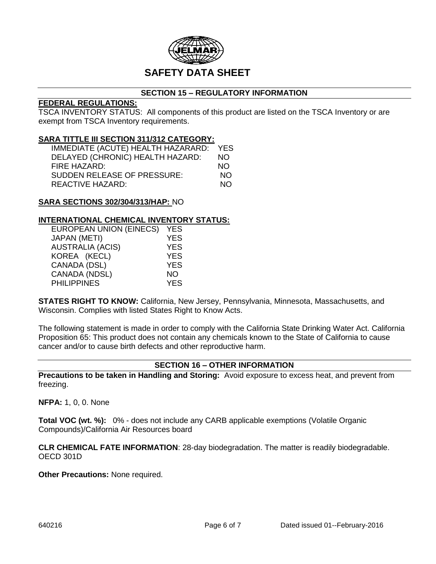

## **SECTION 15 – REGULATORY INFORMATION**

## **FEDERAL REGULATIONS:**

TSCA INVENTORY STATUS: All components of this product are listed on the TSCA Inventory or are exempt from TSCA Inventory requirements.

#### **SARA TITTLE III SECTION 311/312 CATEGORY:**

| IMMEDIATE (ACUTE) HEALTH HAZARARD: YES |     |
|----------------------------------------|-----|
| DELAYED (CHRONIC) HEALTH HAZARD:       | NO. |
| FIRE HAZARD:                           | NO. |
| SUDDEN RELEASE OF PRESSURE:            | NO. |
| REACTIVE HAZARD:                       | NO. |

#### **SARA SECTIONS 302/304/313/HAP:** NO

#### **INTERNATIONAL CHEMICAL INVENTORY STATUS:**

| <b>EUROPEAN UNION (EINECS)</b> | <b>YES</b> |
|--------------------------------|------------|
| <b>JAPAN (METI)</b>            | <b>YES</b> |
| <b>AUSTRALIA (ACIS)</b>        | <b>YES</b> |
| KOREA (KECL)                   | <b>YES</b> |
| CANADA (DSL)                   | <b>YES</b> |
| CANADA (NDSL)                  | NΟ         |
| <b>PHILIPPINES</b>             | <b>YES</b> |

**STATES RIGHT TO KNOW:** California, New Jersey, Pennsylvania, Minnesota, Massachusetts, and Wisconsin. Complies with listed States Right to Know Acts.

The following statement is made in order to comply with the California State Drinking Water Act. California Proposition 65: This product does not contain any chemicals known to the State of California to cause cancer and/or to cause birth defects and other reproductive harm.

### **SECTION 16 – OTHER INFORMATION**

**Precautions to be taken in Handling and Storing:** Avoid exposure to excess heat, and prevent from freezing.

**NFPA:** 1, 0, 0. None

**Total VOC (wt. %):** 0% - does not include any CARB applicable exemptions (Volatile Organic Compounds)/California Air Resources board

**CLR CHEMICAL FATE INFORMATION**: 28-day biodegradation. The matter is readily biodegradable. OECD 301D

**Other Precautions:** None required.